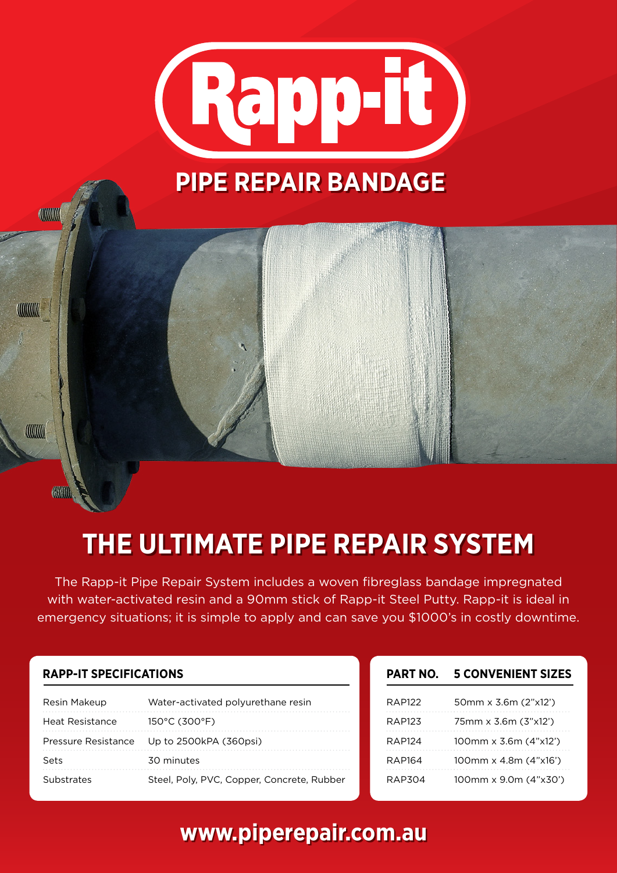

## **PIPE REPAIR BANDAGE**

# **THE ULTIMATE PIPE REPAIR SYSTEM**

The Rapp-it Pipe Repair System includes a woven fibreglass bandage impregnated with water-activated resin and a 90mm stick of Rapp-it Steel Putty. Rapp-it is ideal in emergency situations; it is simple to apply and can save you \$1000's in costly downtime.

#### **RAPP-IT SPECIFICATIONS**

**CONTINUE** 

**CONTINUES** 

**CONTROL** 

**Allin** 

| Resin Makeup    | Water-activated polyurethane resin         |
|-----------------|--------------------------------------------|
| Heat Resistance | $150^{\circ}$ C (300 $^{\circ}$ F)         |
|                 | Pressure Resistance Up to 2500kPA (360psi) |
| Sets            | 30 minutes                                 |
| Substrates      | Steel, Poly, PVC, Copper, Concrete, Rubber |

| <b>PART NO.</b> | <b>5 CONVENIENT SIZES</b> |
|-----------------|---------------------------|
| RAP122          | 50mm x 3.6m (2"x12")      |
| RAP123          | 75mm x 3.6m (3"x12")      |
| RAP124          | 100mm x 3.6m (4"x12")     |
| RAP164          | 100mm x 4.8m (4"x16")     |
| RAP304          | 100mm x 9.0m (4"x30")     |

## **www.piperepair.com.au**